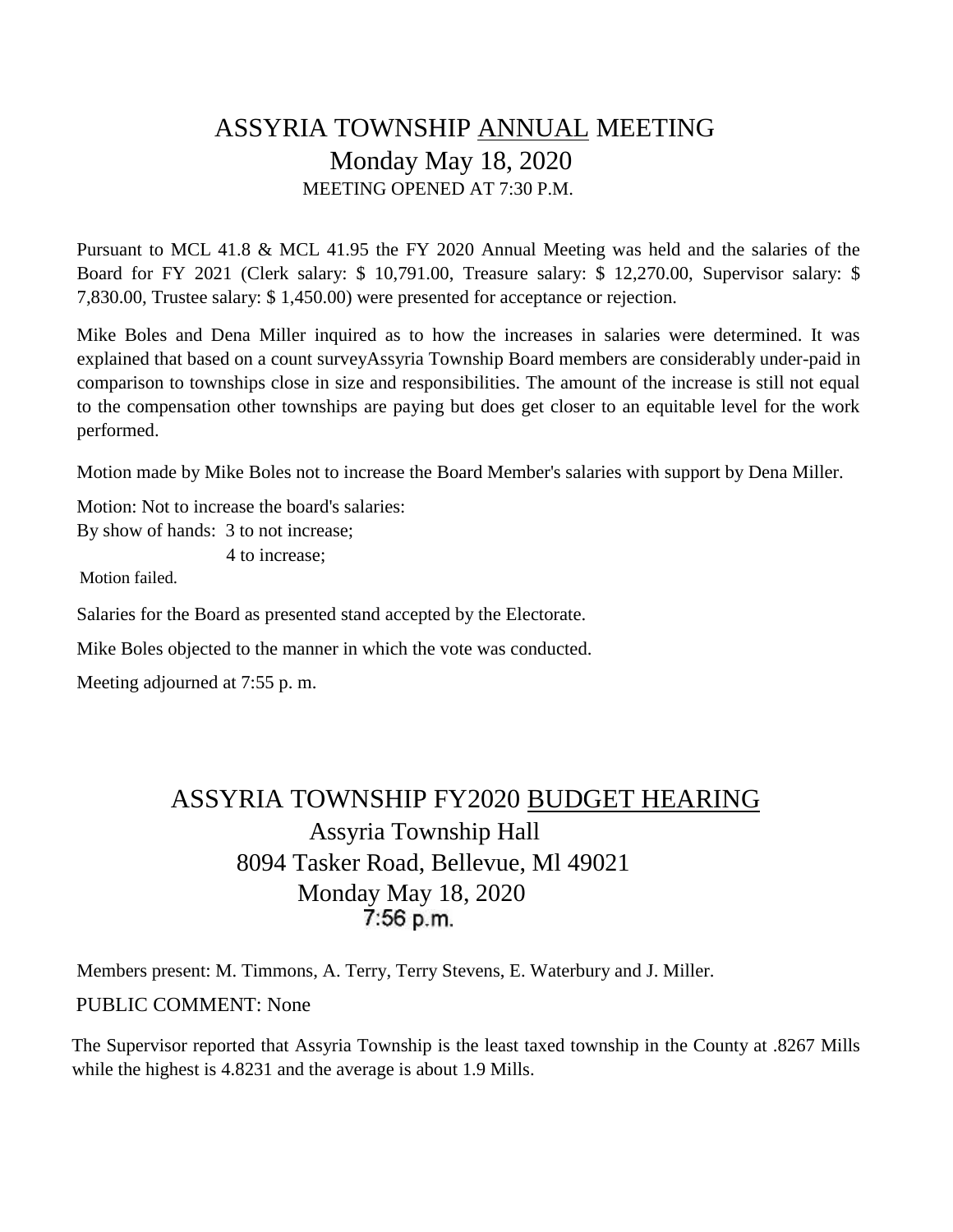# ASSYRIA TOWNSHIP ANNUAL MEETING Monday May 18, 2020 MEETING OPENED AT 7:30 P.M.

Pursuant to MCL 41.8 & MCL 41.95 the FY 2020 Annual Meeting was held and the salaries of the Board for FY 2021 (Clerk salary: \$ 10,791.00, Treasure salary: \$ 12,270.00, Supervisor salary: \$ 7,830.00, Trustee salary: \$ 1,450.00) were presented for acceptance or rejection.

Mike Boles and Dena Miller inquired as to how the increases in salaries were determined. It was explained that based on a count surveyAssyria Township Board members are considerably under-paid in comparison to townships close in size and responsibilities. The amount of the increase is still not equal to the compensation other townships are paying but does get closer to an equitable level for the work performed.

Motion made by Mike Boles not to increase the Board Member's salaries with support by Dena Miller.

Motion: Not to increase the board's salaries: By show of hands: 3 to not increase;

4 to increase;

Motion failed.

Salaries for the Board as presented stand accepted by the Electorate.

Mike Boles objected to the manner in which the vote was conducted.

Meeting adjourned at 7:55 p. m.

# ASSYRIA TOWNSHIP FY2020 BUDGET HEARING Assyria Township Hall 8094 Tasker Road, Bellevue, Ml 49021 Monday May 18, 2020 7:56 p.m.

Members present: M. Timmons, A. Terry, Terry Stevens, E. Waterbury and J. Miller. PUBLIC COMMENT: None

The Supervisor reported that Assyria Township is the least taxed township in the County at .8267 Mills while the highest is 4.8231 and the average is about 1.9 Mills.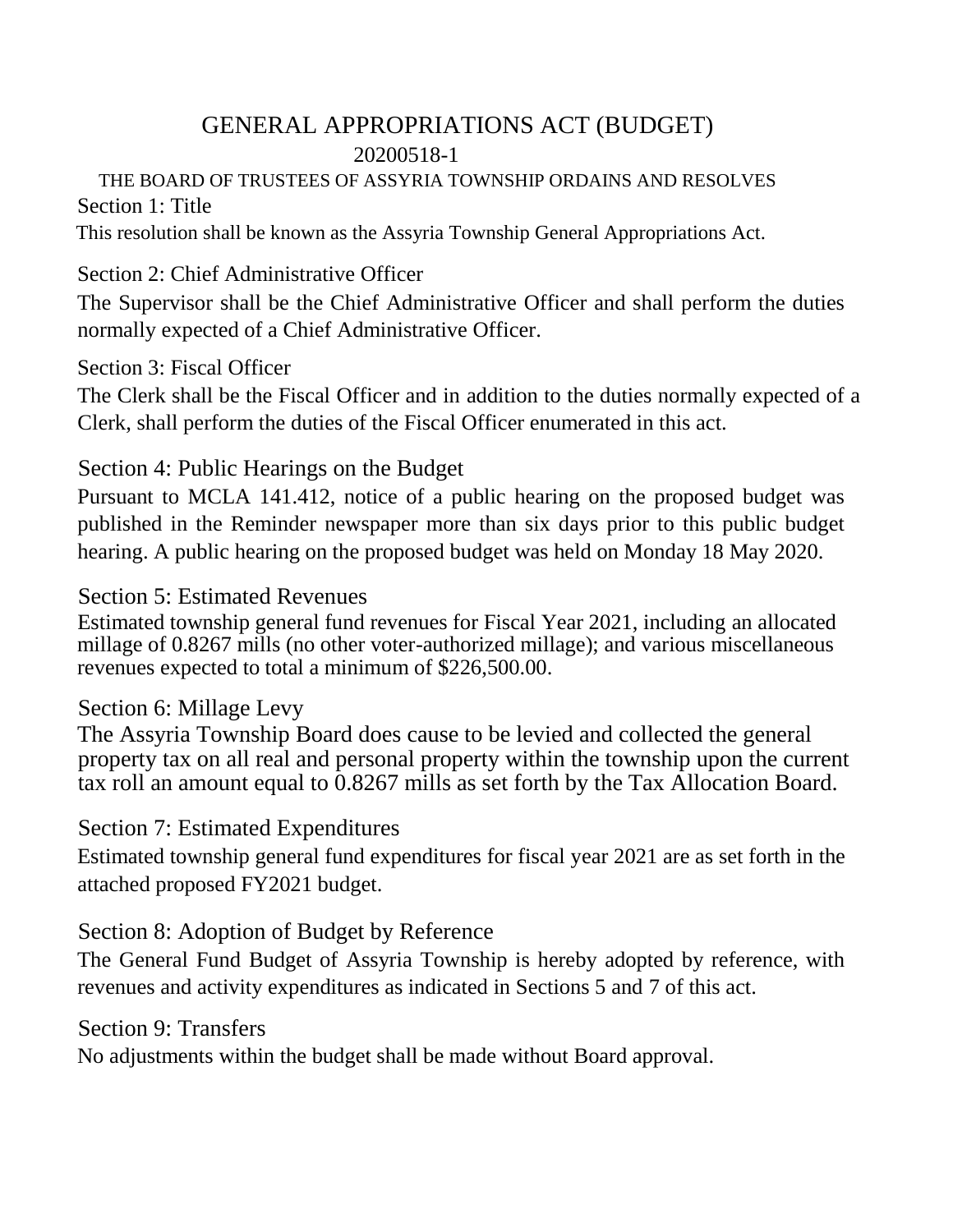# GENERAL APPROPRIATIONS ACT (BUDGET) 20200518-1

## THE BOARD OF TRUSTEES OF ASSYRIA TOWNSHIP ORDAINS AND RESOLVES Section 1: Title

This resolution shall be known as the Assyria Township General Appropriations Act.

## Section 2: Chief Administrative Officer

The Supervisor shall be the Chief Administrative Officer and shall perform the duties normally expected of a Chief Administrative Officer.

## Section 3: Fiscal Officer

The Clerk shall be the Fiscal Officer and in addition to the duties normally expected of a Clerk, shall perform the duties of the Fiscal Officer enumerated in this act.

# Section 4: Public Hearings on the Budget

Pursuant to MCLA 141.412, notice of a public hearing on the proposed budget was published in the Reminder newspaper more than six days prior to this public budget hearing. A public hearing on the proposed budget was held on Monday 18 May 2020.

## Section 5: Estimated Revenues

Estimated township general fund revenues for Fiscal Year 2021, including an allocated millage of 0.8267 mills (no other voter-authorized millage); and various miscellaneous revenues expected to total a minimum of \$226,500.00.

# Section 6: Millage Levy

The Assyria Township Board does cause to be levied and collected the general property tax on all real and personal property within the township upon the current tax roll an amount equal to 0.8267 mills as set forth by the Tax Allocation Board.

# Section 7: Estimated Expenditures

Estimated township general fund expenditures for fiscal year 2021 are as set forth in the attached proposed FY2021 budget.

# Section 8: Adoption of Budget by Reference

The General Fund Budget of Assyria Township is hereby adopted by reference, with revenues and activity expenditures as indicated in Sections 5 and 7 of this act.

#### Section 9: Transfers

No adjustments within the budget shall be made without Board approval.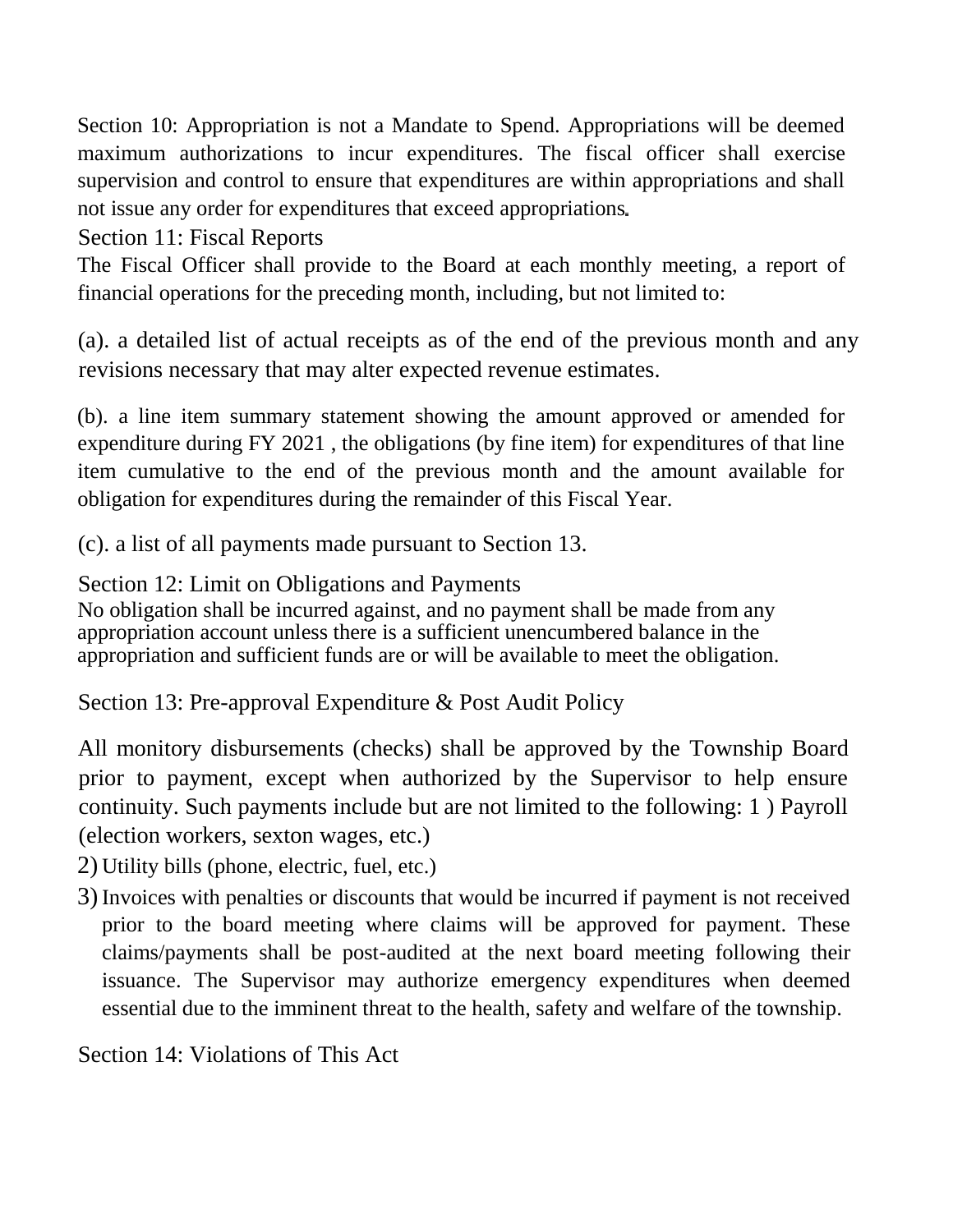Section 10: Appropriation is not a Mandate to Spend. Appropriations will be deemed maximum authorizations to incur expenditures. The fiscal officer shall exercise supervision and control to ensure that expenditures are within appropriations and shall not issue any order for expenditures that exceed appropriations

Section 11: Fiscal Reports

The Fiscal Officer shall provide to the Board at each monthly meeting, a report of financial operations for the preceding month, including, but not limited to:

(a). a detailed list of actual receipts as of the end of the previous month and any revisions necessary that may alter expected revenue estimates.

(b). a line item summary statement showing the amount approved or amended for expenditure during FY 2021 , the obligations (by fine item) for expenditures of that line item cumulative to the end of the previous month and the amount available for obligation for expenditures during the remainder of this Fiscal Year.

(c). a list of all payments made pursuant to Section 13.

Section 12: Limit on Obligations and Payments

No obligation shall be incurred against, and no payment shall be made from any appropriation account unless there is a sufficient unencumbered balance in the appropriation and sufficient funds are or will be available to meet the obligation.

Section 13: Pre-approval Expenditure & Post Audit Policy

All monitory disbursements (checks) shall be approved by the Township Board prior to payment, except when authorized by the Supervisor to help ensure continuity. Such payments include but are not limited to the following: 1 ) Payroll (election workers, sexton wages, etc.)

- 2) Utility bills (phone, electric, fuel, etc.)
- 3)Invoices with penalties or discounts that would be incurred if payment is not received prior to the board meeting where claims will be approved for payment. These claims/payments shall be post-audited at the next board meeting following their issuance. The Supervisor may authorize emergency expenditures when deemed essential due to the imminent threat to the health, safety and welfare of the township.

Section 14: Violations of This Act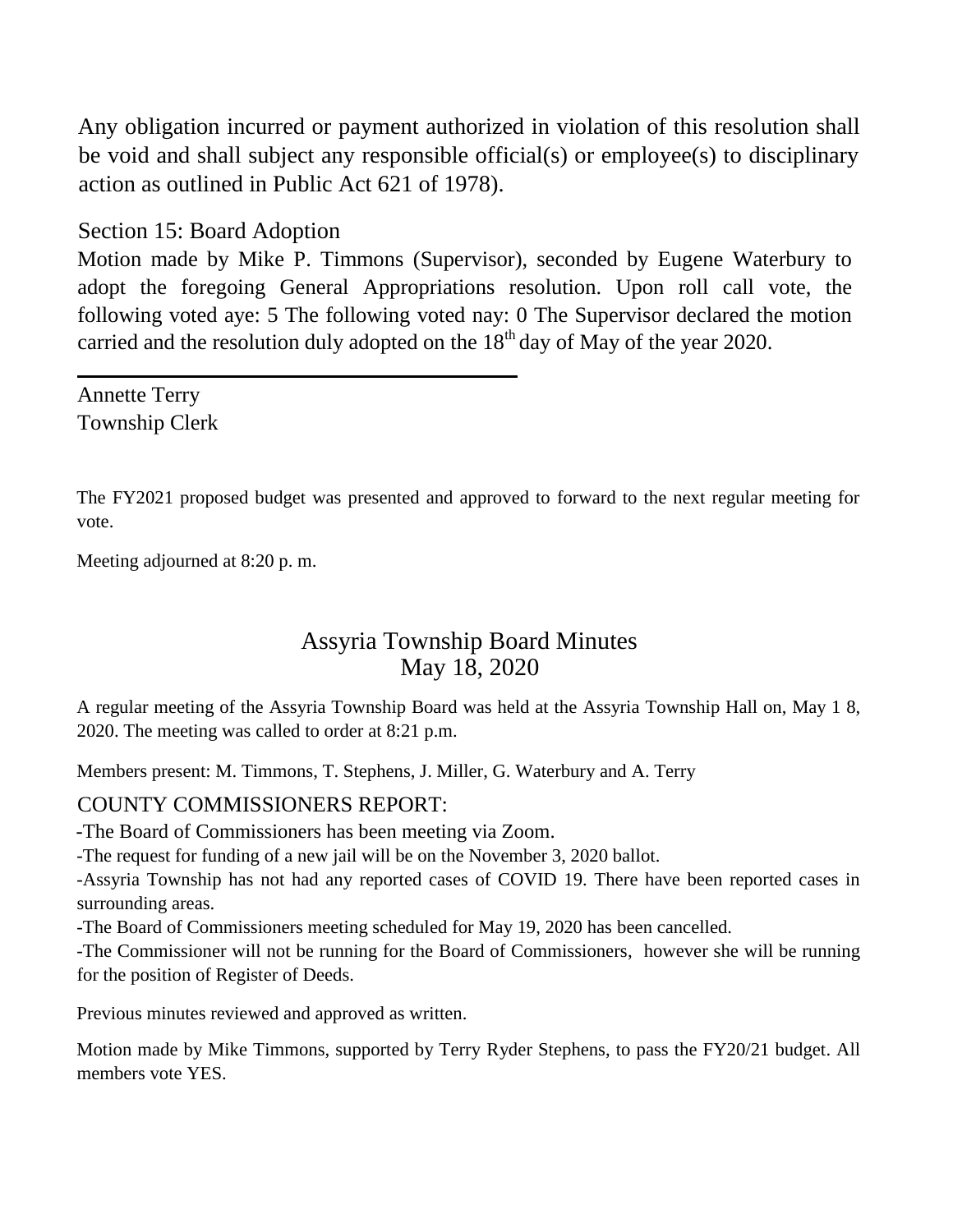Any obligation incurred or payment authorized in violation of this resolution shall be void and shall subject any responsible official(s) or employee(s) to disciplinary action as outlined in Public Act 621 of 1978).

Section 15: Board Adoption

Motion made by Mike P. Timmons (Supervisor), seconded by Eugene Waterbury to adopt the foregoing General Appropriations resolution. Upon roll call vote, the following voted aye: 5 The following voted nay: 0 The Supervisor declared the motion carried and the resolution duly adopted on the  $18<sup>th</sup>$  day of May of the year 2020.

Annette Terry Township Clerk

The FY2021 proposed budget was presented and approved to forward to the next regular meeting for vote.

Meeting adjourned at 8:20 p. m.

## Assyria Township Board Minutes May 18, 2020

A regular meeting of the Assyria Township Board was held at the Assyria Township Hall on, May 1 8, 2020. The meeting was called to order at 8:21 p.m.

Members present: M. Timmons, T. Stephens, J. Miller, G. Waterbury and A. Terry

#### COUNTY COMMISSIONERS REPORT:

-The Board of Commissioners has been meeting via Zoom.

-The request for funding of a new jail will be on the November 3, 2020 ballot.

-Assyria Township has not had any reported cases of COVID 19. There have been reported cases in surrounding areas.

-The Board of Commissioners meeting scheduled for May 19, 2020 has been cancelled.

-The Commissioner will not be running for the Board of Commissioners, however she will be running for the position of Register of Deeds.

Previous minutes reviewed and approved as written.

Motion made by Mike Timmons, supported by Terry Ryder Stephens, to pass the FY20/21 budget. All members vote YES.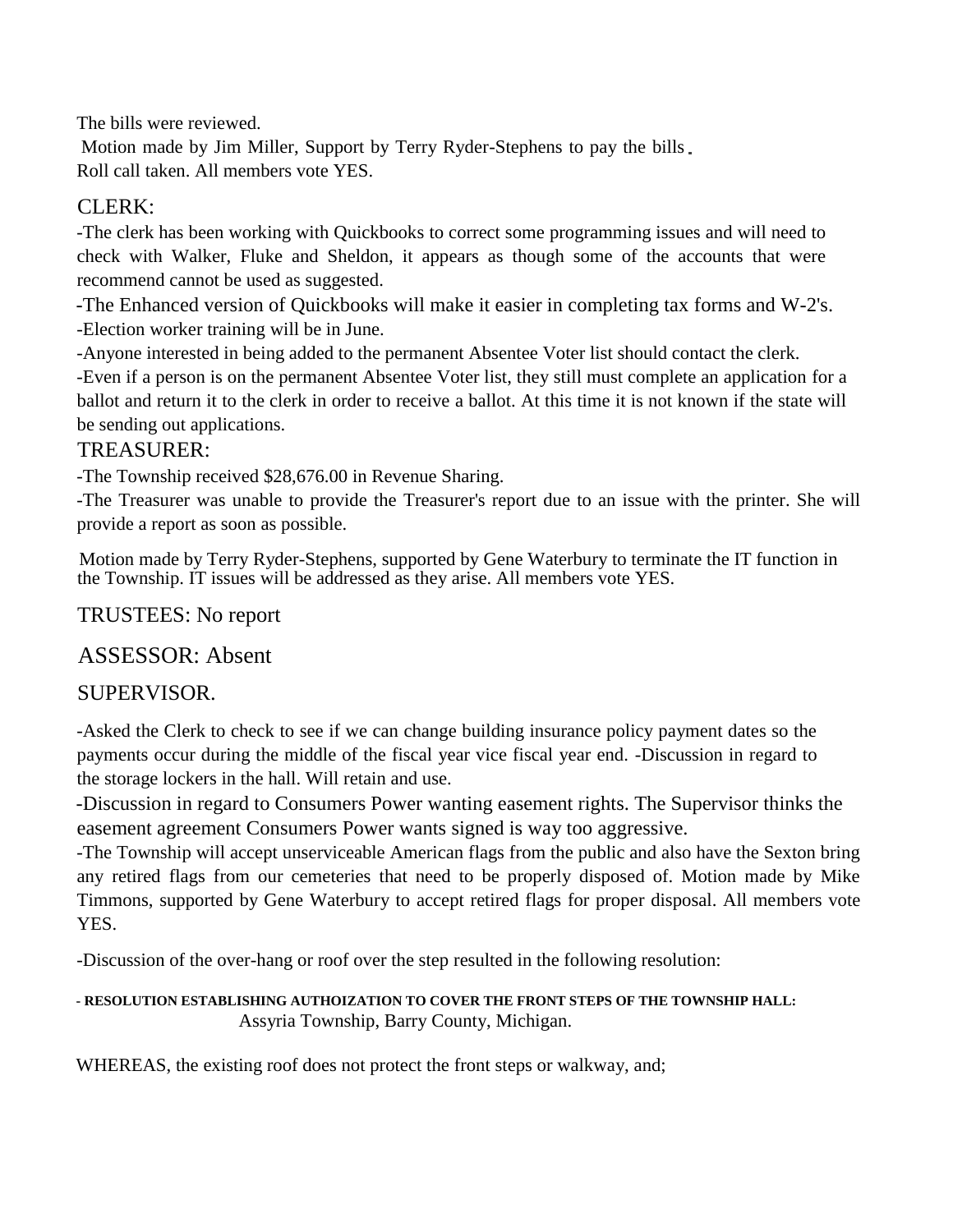The bills were reviewed.

Motion made by Jim Miller, Support by Terry Ryder-Stephens to pay the bills Roll call taken. All members vote YES.

#### CLERK:

-The clerk has been working with Quickbooks to correct some programming issues and will need to check with Walker, Fluke and Sheldon, it appears as though some of the accounts that were recommend cannot be used as suggested.

-The Enhanced version of Quickbooks will make it easier in completing tax forms and W-2's. -Election worker training will be in June.

-Anyone interested in being added to the permanent Absentee Voter list should contact the clerk.

-Even if a person is on the permanent Absentee Voter list, they still must complete an application for a ballot and return it to the clerk in order to receive a ballot. At this time it is not known if the state will be sending out applications.

#### TREASURER:

-The Township received \$28,676.00 in Revenue Sharing.

-The Treasurer was unable to provide the Treasurer's report due to an issue with the printer. She will provide a report as soon as possible.

Motion made by Terry Ryder-Stephens, supported by Gene Waterbury to terminate the IT function in the Township. IT issues will be addressed as they arise. All members vote YES.

#### TRUSTEES: No report

#### ASSESSOR: Absent

#### SUPERVISOR.

-Asked the Clerk to check to see if we can change building insurance policy payment dates so the payments occur during the middle of the fiscal year vice fiscal year end. -Discussion in regard to the storage lockers in the hall. Will retain and use.

-Discussion in regard to Consumers Power wanting easement rights. The Supervisor thinks the easement agreement Consumers Power wants signed is way too aggressive.

-The Township will accept unserviceable American flags from the public and also have the Sexton bring any retired flags from our cemeteries that need to be properly disposed of. Motion made by Mike Timmons, supported by Gene Waterbury to accept retired flags for proper disposal. All members vote YES.

-Discussion of the over-hang or roof over the step resulted in the following resolution:

#### **- RESOLUTION ESTABLISHING AUTHOIZATION TO COVER THE FRONT STEPS OF THE TOWNSHIP HALL:** Assyria Township, Barry County, Michigan.

WHEREAS, the existing roof does not protect the front steps or walkway, and;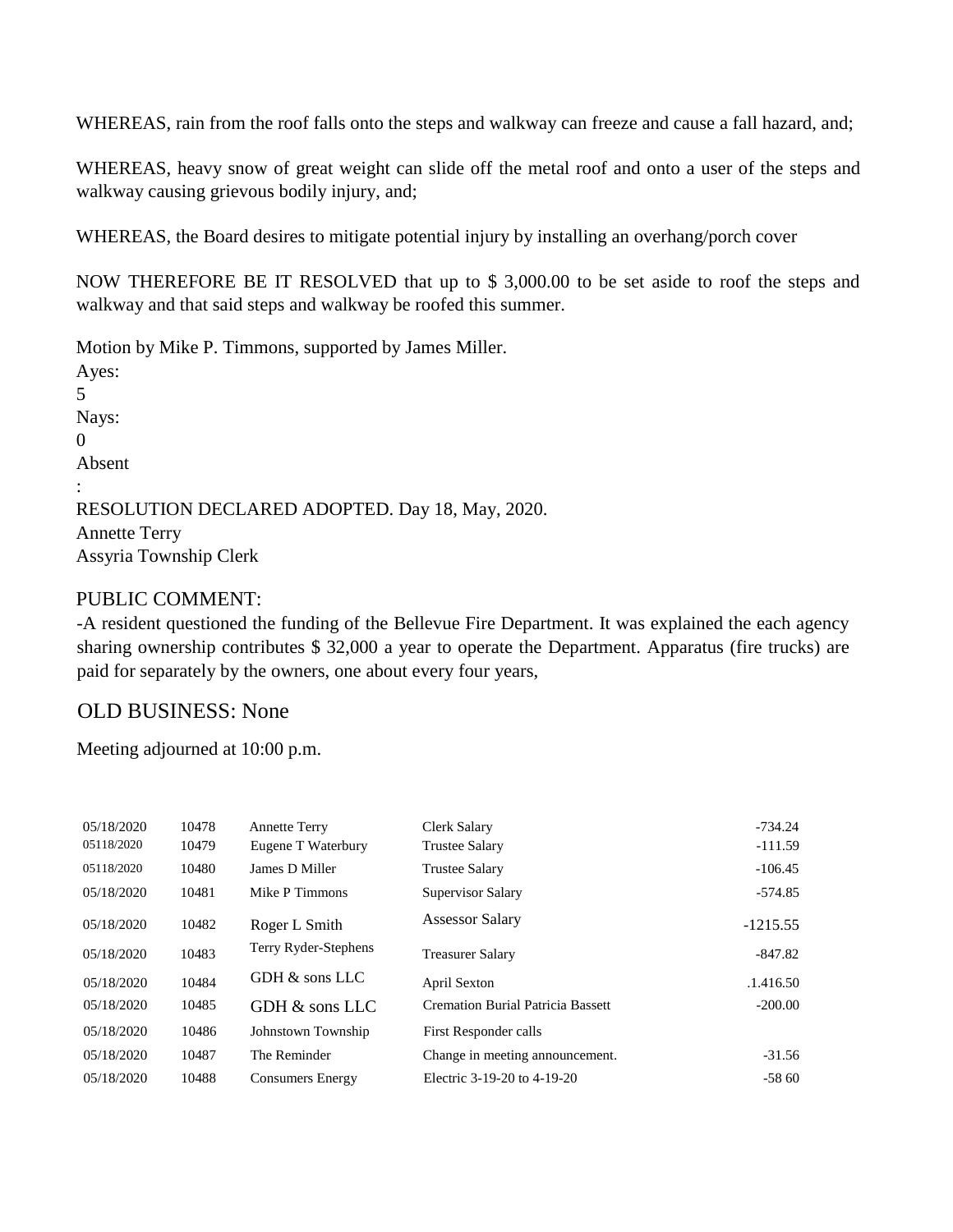WHEREAS, rain from the roof falls onto the steps and walkway can freeze and cause a fall hazard, and;

WHEREAS, heavy snow of great weight can slide off the metal roof and onto a user of the steps and walkway causing grievous bodily injury, and;

WHEREAS, the Board desires to mitigate potential injury by installing an overhang/porch cover

NOW THEREFORE BE IT RESOLVED that up to \$ 3,000.00 to be set aside to roof the steps and walkway and that said steps and walkway be roofed this summer.

Motion by Mike P. Timmons, supported by James Miller. Ayes: 5 Nays: 0 Absent : RESOLUTION DECLARED ADOPTED. Day 18, May, 2020. Annette Terry Assyria Township Clerk

#### PUBLIC COMMENT:

-A resident questioned the funding of the Bellevue Fire Department. It was explained the each agency sharing ownership contributes \$ 32,000 a year to operate the Department. Apparatus (fire trucks) are paid for separately by the owners, one about every four years,

#### OLD BUSINESS: None

Meeting adjourned at 10:00 p.m.

| 05/18/2020 | 10478 | <b>Annette Terry</b>    | Clerk Salary                             | $-734.24$  |
|------------|-------|-------------------------|------------------------------------------|------------|
| 05118/2020 | 10479 | Eugene T Waterbury      | <b>Trustee Salary</b>                    | $-111.59$  |
| 05118/2020 | 10480 | James D Miller          | <b>Trustee Salary</b>                    | $-106.45$  |
| 05/18/2020 | 10481 | Mike P Timmons          | Supervisor Salary                        | $-574.85$  |
| 05/18/2020 | 10482 | Roger L Smith           | <b>Assessor Salary</b>                   | $-1215.55$ |
| 05/18/2020 | 10483 | Terry Ryder-Stephens    | <b>Treasurer Salary</b>                  | $-847.82$  |
| 05/18/2020 | 10484 | GDH & sons LLC          | April Sexton                             | .1.416.50  |
| 05/18/2020 | 10485 | GDH & sons LLC          | <b>Cremation Burial Patricia Bassett</b> | $-200.00$  |
| 05/18/2020 | 10486 | Johnstown Township      | First Responder calls                    |            |
| 05/18/2020 | 10487 | The Reminder            | Change in meeting announcement.          | $-31.56$   |
| 05/18/2020 | 10488 | <b>Consumers Energy</b> | Electric 3-19-20 to 4-19-20              | $-5860$    |